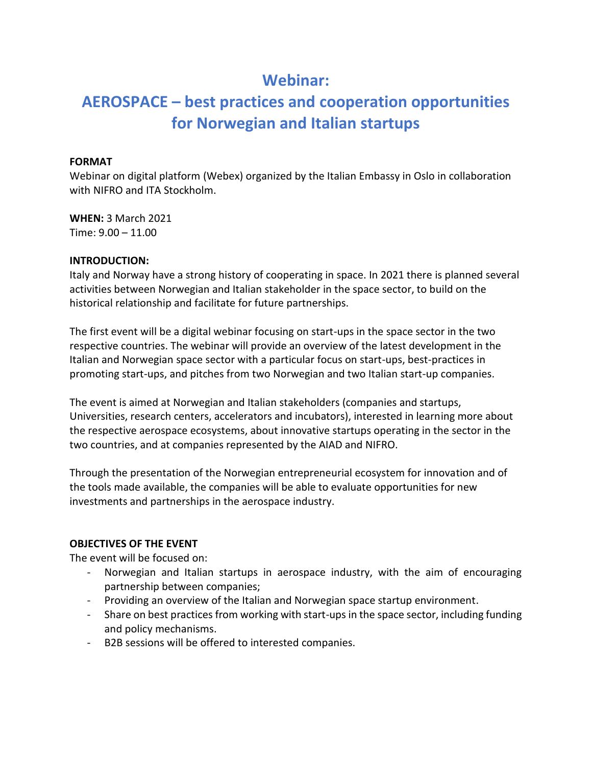## **Webinar:**

# **AEROSPACE – best practices and cooperation opportunities for Norwegian and Italian startups**

### **FORMAT**

Webinar on digital platform (Webex) organized by the Italian Embassy in Oslo in collaboration with NIFRO and ITA Stockholm.

**WHEN:** 3 March 2021 Time: 9.00 – 11.00

## **INTRODUCTION:**

Italy and Norway have a strong history of cooperating in space. In 2021 there is planned several activities between Norwegian and Italian stakeholder in the space sector, to build on the historical relationship and facilitate for future partnerships.

The first event will be a digital webinar focusing on start-ups in the space sector in the two respective countries. The webinar will provide an overview of the latest development in the Italian and Norwegian space sector with a particular focus on start-ups, best-practices in promoting start-ups, and pitches from two Norwegian and two Italian start-up companies.

The event is aimed at Norwegian and Italian stakeholders (companies and startups, Universities, research centers, accelerators and incubators), interested in learning more about the respective aerospace ecosystems, about innovative startups operating in the sector in the two countries, and at companies represented by the AIAD and NIFRO.

Through the presentation of the Norwegian entrepreneurial ecosystem for innovation and of the tools made available, the companies will be able to evaluate opportunities for new investments and partnerships in the aerospace industry.

## **OBJECTIVES OF THE EVENT**

The event will be focused on:

- Norwegian and Italian startups in aerospace industry, with the aim of encouraging partnership between companies;
- Providing an overview of the Italian and Norwegian space startup environment.
- Share on best practices from working with start-ups in the space sector, including funding and policy mechanisms.
- B2B sessions will be offered to interested companies.